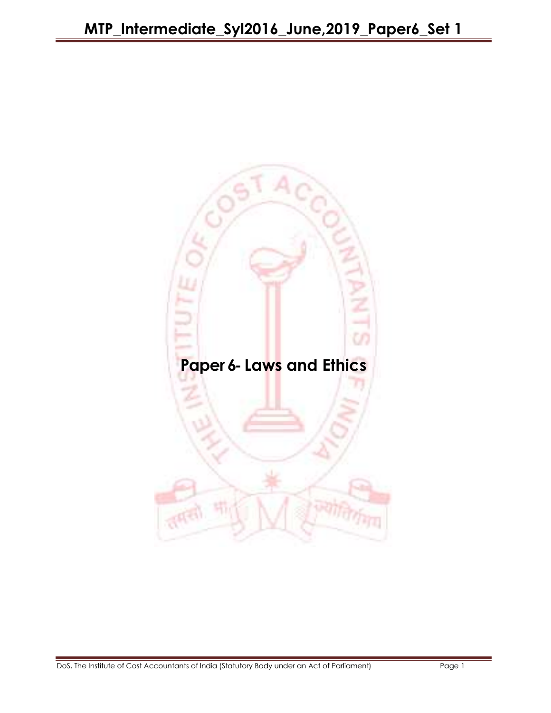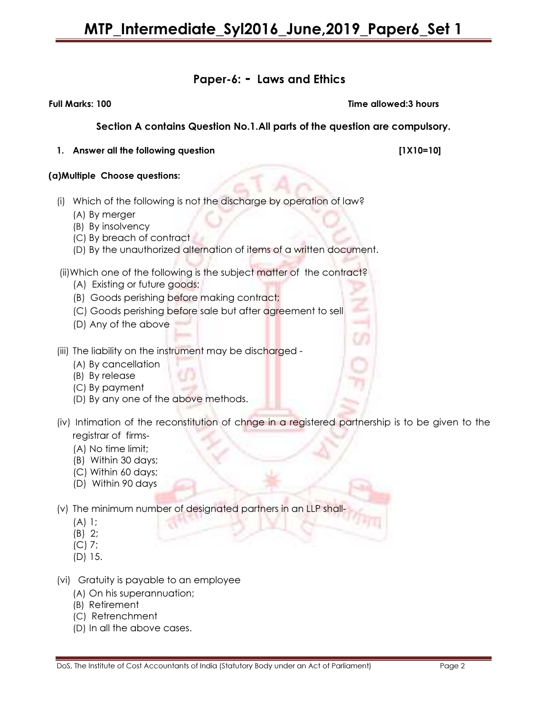# Paper-6: - Laws and Ethics

Full Marks: 100 Time allowed:3 hours

# Section A contains Question No.1.All parts of the question are compulsory.

1. Answer all the following question **1. Answer all the following question** 

# (a)Multiple Choose questions:

- (i) Which of the following is not the discharge by operation of law?
	- (A) By merger
	- (B) By insolvency
	- (C) By breach of contract
	- (D) By the unauthorized alternation of items of a written document.

(ii)Which one of the following is the subject matter of the contract?

- (A) Existing or future goods;
- (B) Goods perishing before making contract;
- (C) Goods perishing before sale but after agreement to sell
- (D) Any of the above
- (iii) The liability on the instrument may be discharged -
	- (A) By cancellation
	- (B) By release
	- (C) By payment
	- (D) By any one of the above methods.
- (iv) Intimation of the reconstitution of chnge in a registered partnership is to be given to the registrar of firms-
	- (A) No time limit;
	- (B) Within 30 days;
	- (C) Within 60 days;
	- (D) Within 90 days
- (v) The minimum number of designated partners in an LLP shall-
	- (A) 1;
	- (B) 2;
	- (C) 7;
	- (D) 15.
- (vi) Gratuity is payable to an employee
	- (A) On his superannuation;
	- (B) Retirement
	- (C) Retrenchment
	- (D) In all the above cases.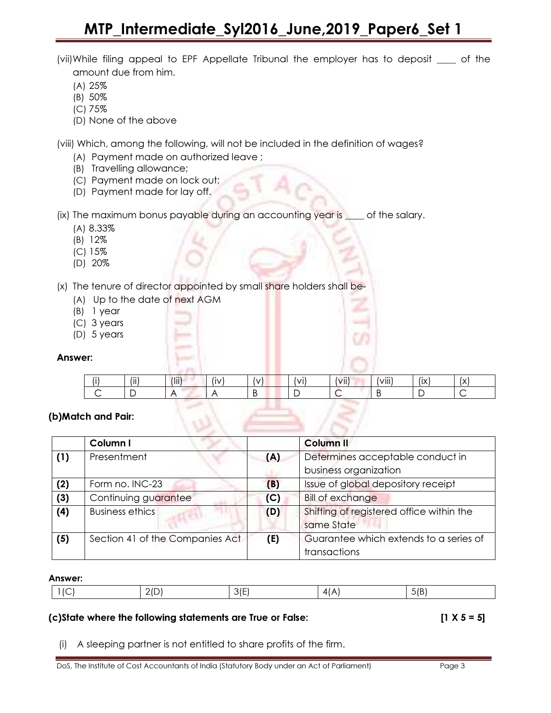(vii)While filing appeal to EPF Appellate Tribunal the employer has to deposit \_\_\_\_ of the

amount due from him.

- (A) 25%
- (B) 50%
- (C) 75%
- (D) None of the above

(viii) Which, among the following, will not be included in the definition of wages?

- (A) Payment made on authorized leave ;
- (B) Travelling allowance;
- (C) Payment made on lock out;
- (D) Payment made for lay off.

(ix) The maximum bonus payable during an accounting year is \_\_\_\_ of the salary.

- (A) 8.33%
- (B) 12%
- (C) 15%
- (D) 20%

(x) The tenure of director appointed by small share holders shall be-

- (A) Up to the date of next AGM
- (B) 1 year
- (C) 3 years
- (D) 5 years

# Answer:

| $\cdots$<br>$(\mathbb{H})$ | 1.1.1<br>( III ) | ' 11 /<br>ע ו | $\mathsf{M}$ | $-1$<br>VII) | <br>VIII | $\cdot\cdot$<br>IW<br>∣∧ | $\sim$<br>⌒ |
|----------------------------|------------------|---------------|--------------|--------------|----------|--------------------------|-------------|
| −                          |                  |               |              |              |          |                          |             |

# (b)Match and Pair:

|     | Column I                        |     | Column <sub>II</sub>                     |
|-----|---------------------------------|-----|------------------------------------------|
| (1) | Presentment                     | (A) | Determines acceptable conduct in         |
|     |                                 |     | business organization                    |
| (2) | Form no. INC-23                 | (B) | Issue of global depository receipt       |
| (3) | Continuing guarantee            | (C) | <b>Bill of exchange</b>                  |
| (4) | <b>Business ethics</b>          | (D) | Shifting of registered office within the |
|     |                                 |     | same State                               |
| (5) | Section 41 of the Companies Act | (E) | Guarantee which extends to a series of   |
|     |                                 |     | transactions                             |

# Answer:

| … '<br>$\Delta$<br>$\mathbf{r}$<br>۱۲<br>◡<br>ـ ،<br>- |
|--------------------------------------------------------|
|--------------------------------------------------------|

# (c)State where the following statements are True or False: [1 X 5 = 5]

(i) A sleeping partner is not entitled to share profits of the firm.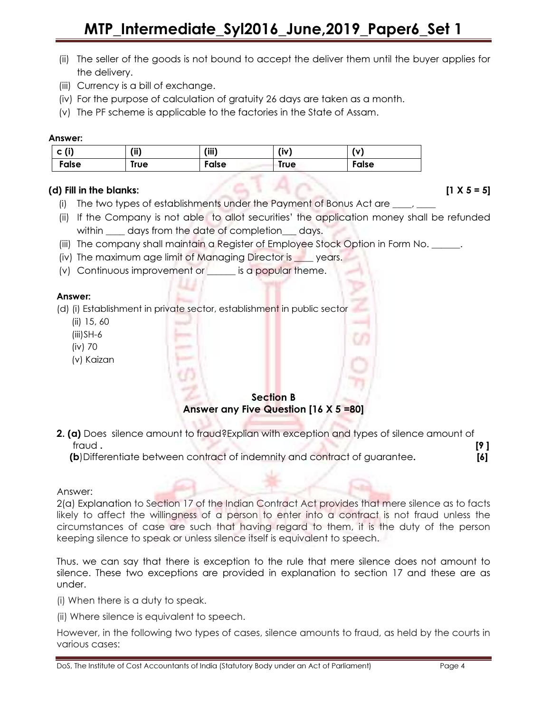# MTP\_Intermediate\_Syl2016\_June,2019\_Paper6\_Set 1

- (ii) The seller of the goods is not bound to accept the deliver them until the buyer applies for the delivery.
- (iii) Currency is a bill of exchange.
- (iv) For the purpose of calculation of gratuity 26 days are taken as a month.
- (v) The PF scheme is applicable to the factories in the State of Assam.

#### Answer:

| (i)<br>∽<br>◡ | (ii) | (iii) | (iv) | (V)   |
|---------------|------|-------|------|-------|
| False         | True | False | True | False |

#### (d) Fill in the blanks:  $[1 \times 5 = 5]$

- 
- (i) The two types of establishments under the Payment of Bonus Act are \_\_\_\_, \_\_\_\_
- (ii) If the Company is not able to allot securities' the application money shall be refunded within days from the date of completion days.
- (iii) The company shall maintain a Register of Employee Stock Option in Form No.
- (iv) The maximum age limit of Managing Director is \_\_\_\_ years.
- (v) Continuous improvement or **example 2** is a popular theme.

#### Answer:

(d) (i) Establishment in private sector, establishment in public sector

- (ii) 15, 60
- $(iii)$ SH-6
- (iv) 70
- (v) Kaizan

# Section B

Answer any Five Question [16 X 5 =80] l

2. (a) Does silence amount to fraud?Explian with exception and types of silence amount of fraud . [9] **[9]** 

(b)Differentiate between contract of indemnity and contract of guarantee. [6]

#### Answer:

2(a) Explanation to Section 17 of the Indian Contract Act provides that mere silence as to facts likely to affect the willingness of a person to enter into a contract is not fraud unless the circumstances of case are such that having regard to them, it is the duty of the person keeping silence to speak or unless silence itself is equivalent to speech.

Thus. we can say that there is exception to the rule that mere silence does not amount to silence. These two exceptions are provided in explanation to section 17 and these are as under.

(i) When there is a duty to speak.

(ii) Where silence is equivalent to speech.

However, in the following two types of cases, silence amounts to fraud, as held by the courts in various cases: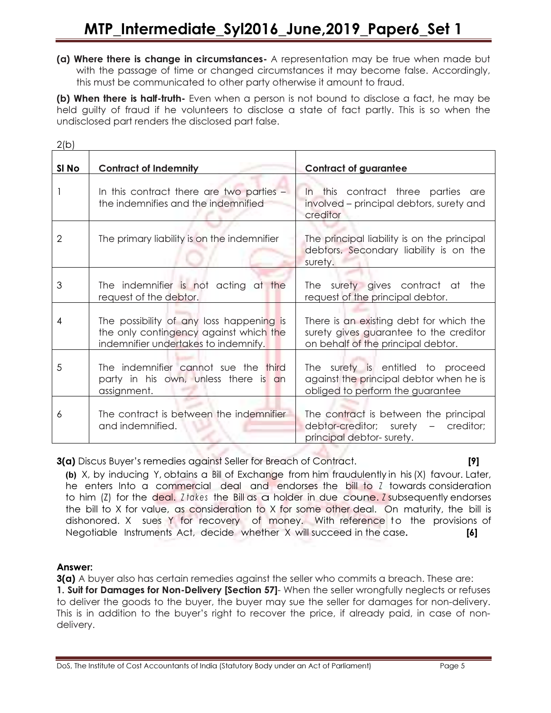(a) Where there is change in circumstances- A representation may be true when made but with the passage of time or changed circumstances it may become false. Accordingly, this must be communicated to other party otherwise it amount to fraud.

(b) When there is half-truth- Even when a person is not bound to disclose a fact, he may be held guilty of fraud if he volunteers to disclose a state of fact partly. This is so when the undisclosed part renders the disclosed part false.

| 2(b)           |                                                                                                                            |                                                                                                                         |
|----------------|----------------------------------------------------------------------------------------------------------------------------|-------------------------------------------------------------------------------------------------------------------------|
| SI No          | <b>Contract of Indemnity</b>                                                                                               | <b>Contract of guarantee</b>                                                                                            |
|                | In this contract there are two parties $-$<br>the indemnifies and the indemnified                                          | this contract three parties are<br>$\ln$<br>involved – principal debtors, surety and<br>creditor                        |
| $\overline{2}$ | The primary liability is on the indemnifier                                                                                | The principal liability is on the principal<br>debtors. Secondary liability is on the<br>surety.                        |
| 3              | The indemnifier is not acting at the<br>request of the debtor.                                                             | The surety gives contract at<br>the<br>request of the principal debtor.                                                 |
| 4              | The possibility of any loss happening is<br>the only contingency against which the<br>indemnifier undertakes to indemnify. | There is an existing debt for which the<br>surety gives guarantee to the creditor<br>on behalf of the principal debtor. |
| 5              | The indemnifier cannot sue the third<br>party in his own, unless there is an<br>assignment.                                | The surety is entitled to proceed<br>against the principal debtor when he is<br>obliged to perform the guarantee        |
| 6              | The contract is between the indemnifier<br>and indemnified.                                                                | The contract is between the principal<br>debtor-creditor; surety - creditor;<br>principal debtor-surety.                |

3(a) Discus Buyer's remedies against Seller for Breach of Contract. [9]

(b) X, by inducing Y, obtains a Bill of Exchange from him fraudulently in his (X) favour. Later, he enters Into a commercial deal and endorses the bill to  $\ell$  towards consideration to him ( $\overline{z}$ ) for the deal. *I* takes the Bill as a holder in due coune. *I* subsequently endorses the bill to X for value, as consideration to X for some other deal. On maturity, the bill is dishonored. X sues Y for recovery of money. With reference to the provisions of Negotiable Instruments Act, decide whether X will succeed in the case. **[6]** 

# Answer:

3(a) A buyer also has certain remedies against the seller who commits a breach. These are: 1. Suit for Damages for Non-Delivery [Section 57]- When the seller wrongfully neglects or refuses to deliver the goods to the buyer, the buyer may sue the seller for damages for non-delivery. This is in addition to the buyer's right to recover the price, if already paid, in case of nondelivery.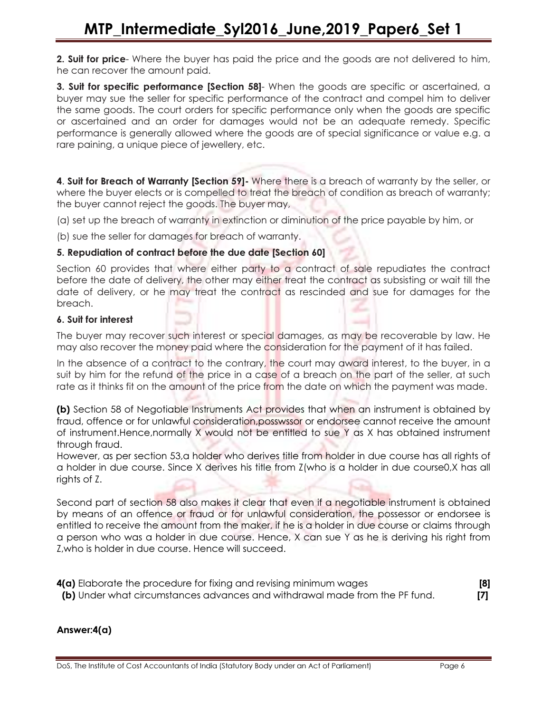2. Suit for price- Where the buyer has paid the price and the goods are not delivered to him, he can recover the amount paid.

**3. Suit for specific performance [Section 58]**- When the goods are specific or ascertained, a buyer may sue the seller for specific performance of the contract and compel him to deliver the same goods. The court orders for specific performance only when the goods are specific or ascertained and an order for damages would not be an adequate remedy. Specific performance is generally allowed where the goods are of special significance or value e.g. a rare paining, a unique piece of jewellery, etc.

4. Suit for Breach of Warranty [Section 59] Where there is a breach of warranty by the seller, or where the buyer elects or is compelled to treat the breach of condition as breach of warranty; the buyer cannot reject the goods. The buyer may,

(a) set up the breach of warranty in extinction or diminution of the price payable by him, or

(b) sue the seller for damages for breach of warranty.

#### 5. Repudiation of contract before the due date [Section 60]

Section 60 provides that where either party to a contract of sale repudiates the contract before the date of delivery, the other may either treat the contract as subsisting or wait till the date of delivery, or he may treat the contract as rescinded and sue for damages for the breach.

#### 6. Suit for interest

The buyer may recover such interest or special damages, as may be recoverable by law. He may also recover the money paid where the consideration for the payment of it has failed.

In the absence of a contract to the contrary, the court may award interest, to the buyer, in a suit by him for the refund of the price in a case of a breach on the part of the seller, at such rate as it thinks fit on the amount of the price from the date on which the payment was made.

(b) Section 58 of Negotiable Instruments Act provides that when an instrument is obtained by fraud, offence or for unlawful consideration,posswssor or endorsee cannot receive the amount of instrument.Hence,normally X would not be entitled to sue Y as X has obtained instrument through fraud.

However, as per section 53,a holder who derives title from holder in due course has all rights of a holder in due course. Since X derives his title from Z(who is a holder in due course0,X has all rights of Z.

Second part of section 58 also makes it clear that even if a negotiable instrument is obtained by means of an offence or fraud or for unlawful consideration, the possessor or endorsee is entitled to receive the amount from the maker, if he is a holder in due course or claims through a person who was a holder in due course. Hence, X can sue Y as he is deriving his right from Z,who is holder in due course. Hence will succeed.

4(a) Elaborate the procedure for fixing and revising minimum wages [8] (b) Under what circumstances advances and withdrawal made from the PF fund. [7]

# Answer:4(a)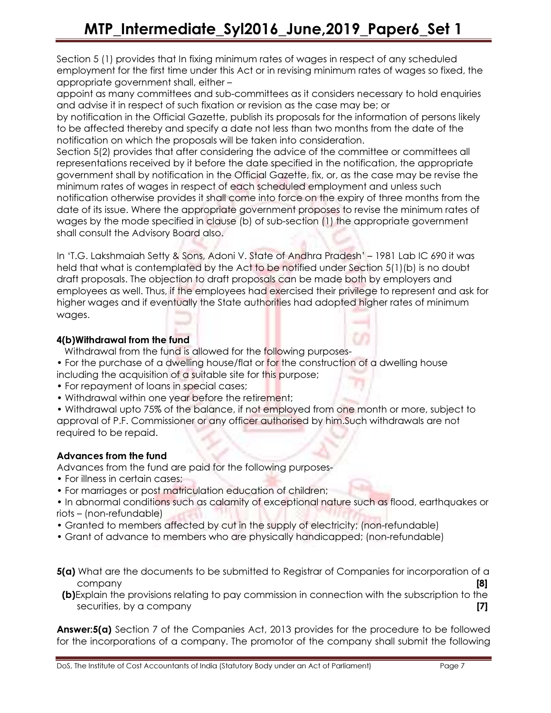Section 5 (1) provides that In fixing minimum rates of wages in respect of any scheduled employment for the first time under this Act or in revising minimum rates of wages so fixed, the appropriate government shall, either –

appoint as many committees and sub-committees as it considers necessary to hold enquiries and advise it in respect of such fixation or revision as the case may be; or

by notification in the Official Gazette, publish its proposals for the information of persons likely to be affected thereby and specify a date not less than two months from the date of the notification on which the proposals will be taken into consideration.

Section 5(2) provides that after considering the advice of the committee or committees all representations received by it before the date specified in the notification, the appropriate government shall by notification in the Official Gazette, fix, or, as the case may be revise the minimum rates of wages in respect of each scheduled employment and unless such notification otherwise provides it shall come into force on the expiry of three months from the date of its issue. Where the appropriate government proposes to revise the minimum rates of wages by the mode specified in clause (b) of sub-section (1) the appropriate government shall consult the Advisory Board also.

In 'T.G. Lakshmaiah Setty & Sons, Adoni V. State of Andhra Pradesh' – 1981 Lab IC 690 it was held that what is contemplated by the Act to be notified under Section 5(1)(b) is no doubt draft proposals. The objection to draft proposals can be made both by employers and employees as well. Thus, if the employees had exercised their privilege to represent and ask for higher wages and if eventually the State authorities had adopted higher rates of minimum wages.

# 4(b)Withdrawal from the fund

Withdrawal from the fund is allowed for the following purposes-

- For the purchase of a dwelling house/flat or for the construction of a dwelling house including the acquisition of a suitable site for this purpose;
- For repayment of loans in special cases;
- Withdrawal within one year before the retirement;

• Withdrawal upto 75% of the balance, if not employed from one month or more, subject to approval of P.F. Commissioner or any officer authorised by him.Such withdrawals are not required to be repaid.

# Advances from the fund

Advances from the fund are paid for the following purposes-

- For illness in certain cases;
- For marriages or post matriculation education of children;

• In abnormal conditions such as calamity of exceptional nature such as flood, earthquakes or riots – (non-refundable)

- Granted to members affected by cut in the supply of electricity; (non-refundable)
- Grant of advance to members who are physically handicapped; (non-refundable)
- 5(a) What are the documents to be submitted to Registrar of Companies for incorporation of a company [8] [8] Company and the company of the company  $\sim$  [8]  $\sim$  [8]  $\sim$  [8]  $\sim$  [8]  $\sim$  [8]  $\sim$  [8]  $\sim$  [8]  $\sim$  [8]  $\sim$  [8]  $\sim$  [8]  $\sim$  [8]  $\sim$  [8]  $\sim$  [8]  $\sim$  [8]  $\sim$  [8]  $\sim$  [8]  $\sim$  [8]  $\sim$  [8]  $\sim$
- (b)Explain the provisions relating to pay commission in connection with the subscription to the securities, by a company **[7] Example 1 Example 2 EXAMPLE 2 EXAMPLE 2 EXAMPLE 2 EXAMPLE 2 EXAMPLE 2 EXAMPLE 2 EXAMPLE 2 EXAMPLE 2 EXAMPLE 2 EXAMPLE 2 EXAMPLE 2 EXAMPLE 2 EXAMPLE 2 EXAMPLE 2**

**Answer:5(a)** Section 7 of the Companies Act, 2013 provides for the procedure to be followed for the incorporations of a company. The promotor of the company shall submit the following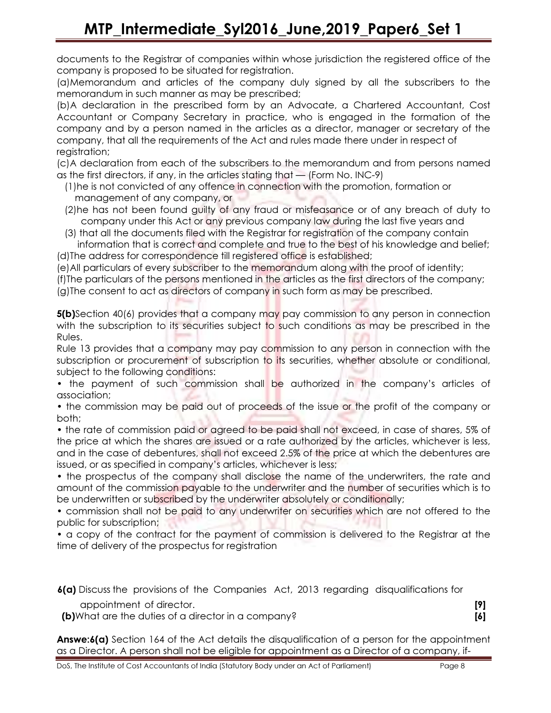documents to the Registrar of companies within whose jurisdiction the registered office of the company is proposed to be situated for registration.

(a)Memorandum and articles of the company duly signed by all the subscribers to the memorandum in such manner as may be prescribed;

(b)A declaration in the prescribed form by an Advocate, a Chartered Accountant, Cost Accountant or Company Secretary in practice, who is engaged in the formation of the company and by a person named in the articles as a director, manager or secretary of the company, that all the requirements of the Act and rules made there under in respect of registration;

(c)A declaration from each of the subscribers to the memorandum and from persons named as the first directors, if any, in the articles stating that — (Form No. INC-9)

 (1)he is not convicted of any offence in connection with the promotion, formation or management of any company, or

 (2)he has not been found guilty of any fraud or misfeasance or of any breach of duty to company under this Act or any previous company law during the last five years and

 (3) that all the documents filed with the Registrar for registration of the company contain information that is correct and complete and true to the best of his knowledge and belief;

(d)The address for correspondence till registered office is established;

(e)All particulars of every subscriber to the memorandum along with the proof of identity;

(f)The particulars of the persons mentioned in the articles as the first directors of the company;

(g)The consent to act as directors of company in such form as may be prescribed.

5(b)Section 40(6) provides that a company may pay commission to any person in connection with the subscription to its securities subject to such conditions as may be prescribed in the Rules.

Rule 13 provides that a company may pay commission to any person in connection with the subscription or procurement of subscription to its securities, whether absolute or conditional, subject to the following conditions:

• the payment of such commission shall be authorized in the company's articles of association;

• the commission may be paid out of proceeds of the issue or the profit of the company or both;

• the rate of commission paid or agreed to be paid shall not exceed, in case of shares, 5% of the price at which the shares are issued or a rate authorized by the articles, whichever is less, and in the case of debentures, shall not exceed 2.5% of the price at which the debentures are issued, or as specified in company's articles, whichever is less;

• the prospectus of the company shall disclose the name of the underwriters, the rate and amount of the commission payable to the underwriter and the number of securities which is to be underwritten or subscribed by the underwriter absolutely or conditionally;

• commission shall not be paid to any underwriter on securities which are not offered to the public for subscription;

• a copy of the contract for the payment of commission is delivered to the Registrar at the time of delivery of the prospectus for registration

6(a) Discuss the provisions of the Companies Act, 2013 regarding disqualifications for appointment of director.

(b)What are the duties of a director in a company? [6]

**Answe:** $\delta(\mathbf{a})$  Section 164 of the Act details the disqualification of a person for the appointment as a Director. A person shall not be eligible for appointment as a Director of a company, if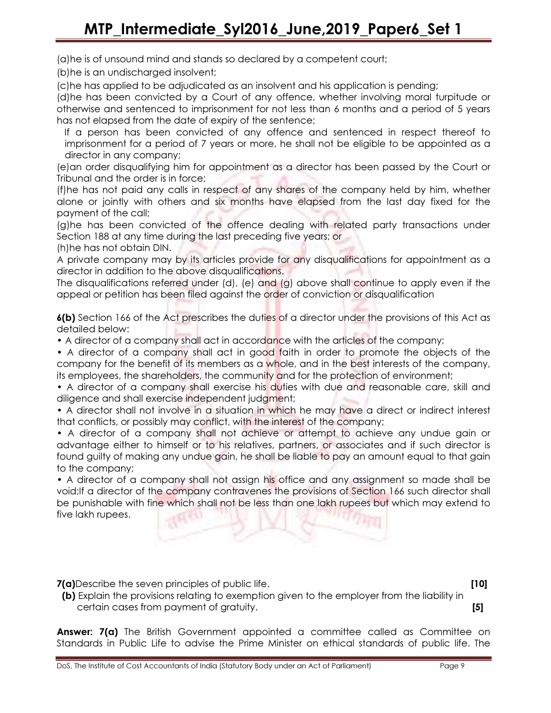(a)he is of unsound mind and stands so declared by a competent court;

(b)he is an undischarged insolvent;

(c)he has applied to be adjudicated as an insolvent and his application is pending;

(d)he has been convicted by a Court of any offence, whether involving moral turpitude or otherwise and sentenced to imprisonment for not less than 6 months and a period of 5 years has not elapsed from the date of expiry of the sentence;

 If a person has been convicted of any offence and sentenced in respect thereof to imprisonment for a period of 7 years or more, he shall not be eligible to be appointed as a director in any company;

(e)an order disqualifying him for appointment as a director has been passed by the Court or Tribunal and the order is in force;

(f)he has not paid any calls in respect of any shares of the company held by him, whether alone or jointly with others and six months have elapsed from the last day fixed for the payment of the call;

(g)he has been convicted of the offence dealing with related party transactions under Section 188 at any time during the last preceding five years; or

(h)he has not obtain DIN.

A private company may by its articles provide for any disqualifications for appointment as a director in addition to the above disqualifications.

The disqualifications referred under (d), (e) and (g) above shall continue to apply even if the appeal or petition has been filed against the order of conviction or disqualification

6(b) Section 166 of the Act prescribes the duties of a director under the provisions of this Act as detailed below:

• A director of a company shall act in accordance with the articles of the company;

• A director of a company shall act in good faith in order to promote the objects of the company for the benefit of its members as a whole, and in the best interests of the company, its employees, the shareholders, the community and for the protection of environment;

• A director of a company shall exercise his duties with due and reasonable care, skill and diligence and shall exercise independent judgment;

• A director shall not involve in a situation in which he may have a direct or indirect interest that conflicts, or possibly may conflict, with the interest of the company;

• A director of a company shall not achieve or attempt to achieve any undue gain or advantage either to himself or to his relatives, partners, or associates and if such director is found guilty of making any undue gain, he shall be liable to pay an amount equal to that gain to the company;

• A director of a company shall not assign his office and any assignment so made shall be void;If a director of the company contravenes the provisions of Section 166 such director shall be punishable with fine which shall not be less than one lakh rupees but which may extend to five lakh rupees.

**7(a)**Describe the seven principles of public life. **[10] [10]** 

 (b) Explain the provisions relating to exemption given to the employer from the liability in certain cases from payment of gratuity. [5]

Answer: 7(a) The British Government appointed a committee called as Committee on Standards in Public Life to advise the Prime Minister on ethical standards of public life. The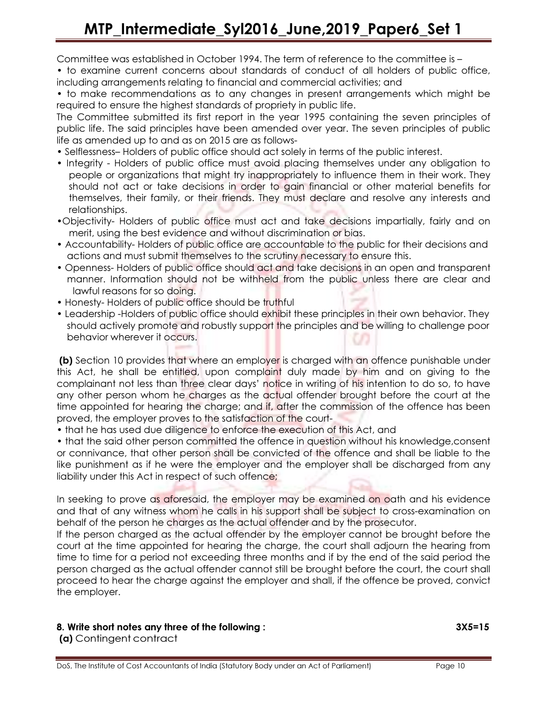# MTP Intermediate Syl2016 June,2019 Paper6 Set 1

Committee was established in October 1994. The term of reference to the committee is –

• to examine current concerns about standards of conduct of all holders of public office, including arrangements relating to financial and commercial activities; and

• to make recommendations as to any changes in present arrangements which might be required to ensure the highest standards of propriety in public life.

The Committee submitted its first report in the year 1995 containing the seven principles of public life. The said principles have been amended over year. The seven principles of public life as amended up to and as on 2015 are as follows-

- Selflessness– Holders of public office should act solely in terms of the public interest.
- Integrity Holders of public office must avoid placing themselves under any obligation to people or organizations that might try inappropriately to influence them in their work. They should not act or take decisions in order to gain financial or other material benefits for themselves, their family, or their friends. They must declare and resolve any interests and relationships.
- •Objectivity- Holders of public office must act and take decisions impartially, fairly and on merit, using the best evidence and without discrimination or bias.
- Accountability- Holders of public office are accountable to the public for their decisions and actions and must submit themselves to the scrutiny necessary to ensure this.
- Openness- Holders of public office should act and take decisions in an open and transparent manner. Information should not be withheld from the public unless there are clear and lawful reasons for so doing.
- Honesty-Holders of public office should be truthful
- Leadership -Holders of public office should exhibit these principles in their own behavior. They should actively promote and robustly support the principles and be willing to challenge poor behavior wherever it occurs.

(b) Section 10 provides that where an employer is charged with an offence punishable under this Act, he shall be entitled, upon complaint duly made by him and on giving to the complainant not less than three clear days' notice in writing of his intention to do so, to have any other person whom he charges as the actual offender brought before the court at the time appointed for hearing the charge; and if, after the commission of the offence has been proved, the employer proves to the satisfaction of the court-

• that he has used due diligence to enforce the execution of this Act, and

• that the said other person committed the offence in question without his knowledge,consent or connivance, that other person shall be convicted of the offence and shall be liable to the like punishment as if he were the employer and the employer shall be discharged from any liability under this Act in respect of such offence;

In seeking to prove as aforesaid, the employer may be examined on oath and his evidence and that of any witness whom he calls in his support shall be subject to cross-examination on behalf of the person he charges as the actual offender and by the prosecutor.

If the person charged as the actual offender by the employer cannot be brought before the court at the time appointed for hearing the charge, the court shall adjourn the hearing from time to time for a period not exceeding three months and if by the end of the said period the person charged as the actual offender cannot still be brought before the court, the court shall proceed to hear the charge against the employer and shall, if the offence be proved, convict the employer.

# 8. Write short notes any three of the following : 3X5=15

(a) Contingent contract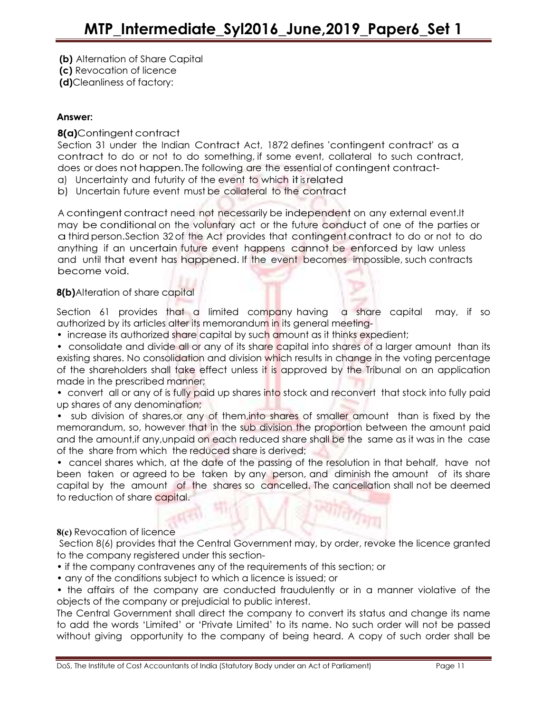- (b) Alternation of Share Capital
- (c) Revocation of licence
- (d)Cleanliness of factory:

# Answer:

### 8(a)Contingent contract

Section 31 under the Indian Contract Act, 1872 defines 'contingent contract' as a contract to do or not to do something, if some event, collateral to such contract, does or does not happen.The following are the essential of contingent contract-

- a) Uncertainty and futurity of the event to which it isrelated
- b) Uncertain future event must be collateral to the contract

A contingent contract need not necessarily be independent on any external event.It may be conditional on the voluntary act or the future conduct of one of the parties or a third person.Section 32 of the Act provides that contingent contract to do or not to do anything if an uncertain future event happens cannot be enforced by law unless and until that event has happened. If the event becomes impossible, such contracts become void.

# 8(b) Alteration of share capital

Section 61 provides that a limited company having a share capital may, if so authorized by its articles alter its memorandum in its general meeting-

• increase its authorized share capital by such amount as it thinks expedient;

• consolidate and divide all or any of its share capital into shares of a larger amount than its existing shares. No consolidation and division which results in change in the voting percentage of the shareholders shall take effect unless it is approved by the Tribunal on an application made in the prescribed manner;

• convert all or any of is fully paid up shares into stock and reconvert that stock into fully paid up shares of any denomination;

• sub division of shares,or any of them,into shares of smaller amount than is fixed by the memorandum, so, however that in the sub division the proportion between the amount paid and the amount,if any,unpaid on each reduced share shall be the same as it was in the case of the share from which the reduced share is derived;

• cancel shares which, at the date of the passing of the resolution in that behalf, have not been taken or agreed to be taken by any person, and diminish the amount of its share capital by the amount of the shares so cancelled. The cancellation shall not be deemed to reduction of share capital.

#### 8(c) Revocation of licence

 Section 8(6) provides that the Central Government may, by order, revoke the licence granted to the company registered under this section-

- if the company contravenes any of the requirements of this section; or
- any of the conditions subject to which a licence is issued; or
- the affairs of the company are conducted fraudulently or in a manner violative of the objects of the company or prejudicial to public interest.

The Central Government shall direct the company to convert its status and change its name to add the words 'Limited' or 'Private Limited' to its name. No such order will not be passed without giving opportunity to the company of being heard. A copy of such order shall be